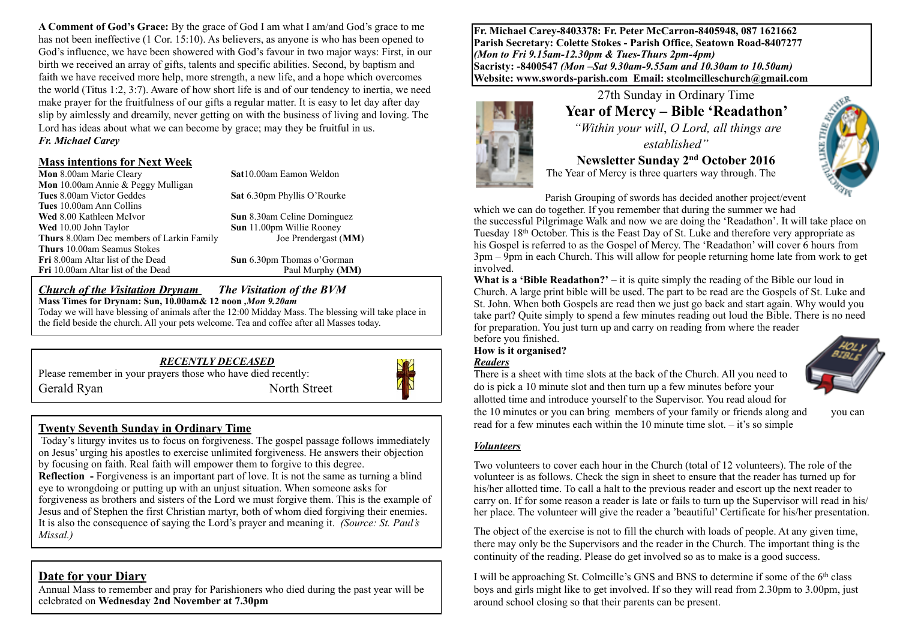**A Comment of God's Grace:** By the grace of God I am what I am/and God's grace to me has not been ineffective (1 Cor. 15:10). As believers, as anyone is who has been opened to God's influence, we have been showered with God's favour in two major ways: First, in our birth we received an array of gifts, talents and specific abilities. Second, by baptism and faith we have received more help, more strength, a new life, and a hope which overcomes the world (Titus 1:2, 3:7). Aware of how short life is and of our tendency to inertia, we need make prayer for the fruitfulness of our gifts a regular matter. It is easy to let day after day slip by aimlessly and dreamily, never getting on with the business of living and loving. The Lord has ideas about what we can become by grace; may they be fruitful in us. *Fr. Michael Carey*

#### **Mass intentions for Next Week**

**Mon** 8.00am Marie Cleary **Sat**10.00am Eamon Weldon **Mon** 10.00am Annie & Peggy Mulligan **Tues** 10.00am Ann Collins **Wed** 8.00 Kathleen McIvor **Sun** 8.30am Celine Dominguez **Wed** 10.00 John Taylor **Sun** 11.00pm Willie Rooney<br> **Thurs** 8.00am Dec members of Larkin Family Joe Prendergast (MM) **Thurs** 8.00am Dec members of Larkin Family **Thurs** 10.00am Seamus Stokes Fri 10.00am Altar list of the Dead Paul Murphy **(MM)** 

**Sat** 6.30pm Phyllis O'Rourke

**Sun** 6.30pm Thomas o'Gorman

#### *Church of the Visitation Drynam**The Visitation of the BVM* **Mass Times for Drynam: Sun, 10.00am& 12 noon** *,Mon 9.20am*

Today we will have blessing of animals after the 12:00 Midday Mass. The blessing will take place in the field beside the church. All your pets welcome. Tea and coffee after all Masses today.

### *RECENTLY DECEASED*

Please remember in your prayers those who have died recently: Gerald Ryan North Street



## **Twenty Seventh Sunday in Ordinary Time**

 Today's liturgy invites us to focus on forgiveness. The gospel passage follows immediately on Jesus' urging his apostles to exercise unlimited forgiveness. He answers their objection by focusing on faith. Real faith will empower them to forgive to this degree.

**Reflection** - Forgiveness is an important part of love. It is not the same as turning a blind eye to wrongdoing or putting up with an unjust situation. When someone asks for forgiveness as brothers and sisters of the Lord we must forgive them. This is the example of Jesus and of Stephen the first Christian martyr, both of whom died forgiving their enemies. It is also the consequence of saying the Lord's prayer and meaning it. *(Source: St. Paul's Missal.)*

# **Date for your Diary**

Annual Mass to remember and pray for Parishioners who died during the past year will be celebrated on **Wednesday 2nd November at 7.30pm** 

**Fr. Michael Carey-8403378: Fr. Peter McCarron-8405948, 087 1621662 Parish Secretary: Colette Stokes - Parish Office, Seatown Road-8407277**  *(Mon to Fri 9.15am-12.30pm & Tues-Thurs 2pm-4pm)*  **Sacristy: -8400547** *(Mon –Sat 9.30am-9.55am and 10.30am to 10.50am)* **Website: [www.swords-parish.com Email:](http://www.swords-parish.com%20%20email) stcolmcilleschurch@gmail.com**



### 27th Sunday in Ordinary Time **Year of Mercy – Bible 'Readathon'**

 *"Within your will*, *O Lord, all things are established"*

**Newsletter Sunday 2nd October 2016**  The Year of Mercy is three quarters way through. The



Parish Grouping of swords has decided another project/event which we can do together. If you remember that during the summer we had

the successful Pilgrimage Walk and now we are doing the 'Readathon'. It will take place on Tuesday 18<sup>th</sup> October. This is the Feast Day of St. Luke and therefore very appropriate as his Gospel is referred to as the Gospel of Mercy. The 'Readathon' will cover 6 hours from 3pm – 9pm in each Church. This will allow for people returning home late from work to get involved.

**What is a 'Bible Readathon?'** – it is quite simply the reading of the Bible our loud in Church. A large print bible will be used. The part to be read are the Gospels of St. Luke and St. John. When both Gospels are read then we just go back and start again. Why would you take part? Quite simply to spend a few minutes reading out loud the Bible. There is no need for preparation. You just turn up and carry on reading from where the reader

before you finished.

## **How is it organised?**

### *Readers*

There is a sheet with time slots at the back of the Church. All you need to do is pick a 10 minute slot and then turn up a few minutes before your allotted time and introduce yourself to the Supervisor. You read aloud for the 10 minutes or you can bring members of your family or friends along and you can read for a few minutes each within the 10 minute time slot. – it's so simple



#### *Volunteers*

Two volunteers to cover each hour in the Church (total of 12 volunteers). The role of the volunteer is as follows. Check the sign in sheet to ensure that the reader has turned up for his/her allotted time. To call a halt to the previous reader and escort up the next reader to carry on. If for some reason a reader is late or fails to turn up the Supervisor will read in his/ her place. The volunteer will give the reader a 'beautiful' Certificate for his/her presentation.

The object of the exercise is not to fill the church with loads of people. At any given time, there may only be the Supervisors and the reader in the Church. The important thing is the continuity of the reading. Please do get involved so as to make is a good success.

I will be approaching St. Colmcille's GNS and BNS to determine if some of the 6th class boys and girls might like to get involved. If so they will read from 2.30pm to 3.00pm, just around school closing so that their parents can be present.